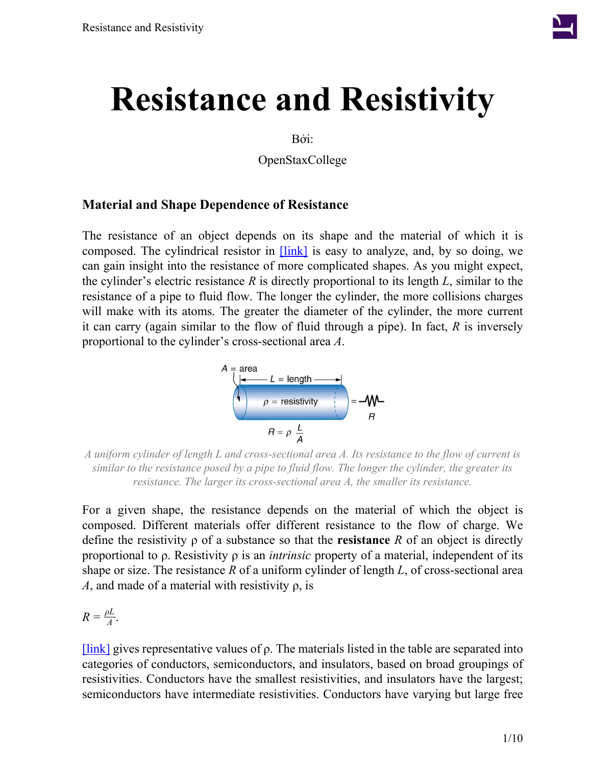

Bởi:

OpenStaxCollege

### **Material and Shape Dependence of Resistance**

The resistance of an object depends on its shape and the material of which it is composed. The cylindrical resistor in [\[link\]](#page-0-0) is easy to analyze, and, by so doing, we can gain insight into the resistance of more complicated shapes. As you might expect, the cylinder's electric resistance *R* is directly proportional to its length *L*, similar to the resistance of a pipe to fluid flow. The longer the cylinder, the more collisions charges will make with its atoms. The greater the diameter of the cylinder, the more current it can carry (again similar to the flow of fluid through a pipe). In fact, *R* is inversely proportional to the cylinder's cross-sectional area *A*.



<span id="page-0-0"></span>*A uniform cylinder of length L and cross-sectional area A. Its resistance to the flow of current is similar to the resistance posed by a pipe to fluid flow. The longer the cylinder, the greater its resistance. The larger its cross-sectional area A, the smaller its resistance.*

For a given shape, the resistance depends on the material of which the object is composed. Different materials offer different resistance to the flow of charge. We define the resistivity ρ of a substance so that the **resistance** *R* of an object is directly proportional to ρ. Resistivity ρ is an *intrinsic* property of a material, independent of its shape or size. The resistance *R* of a uniform cylinder of length *L*, of cross-sectional area *A*, and made of a material with resistivity ρ, is

 $R = \frac{\rho L}{4}$  $\frac{2L}{A}$ .

 $[\text{link}]$  gives representative values of  $\rho$ . The materials listed in the table are separated into categories of conductors, semiconductors, and insulators, based on broad groupings of resistivities. Conductors have the smallest resistivities, and insulators have the largest; semiconductors have intermediate resistivities. Conductors have varying but large free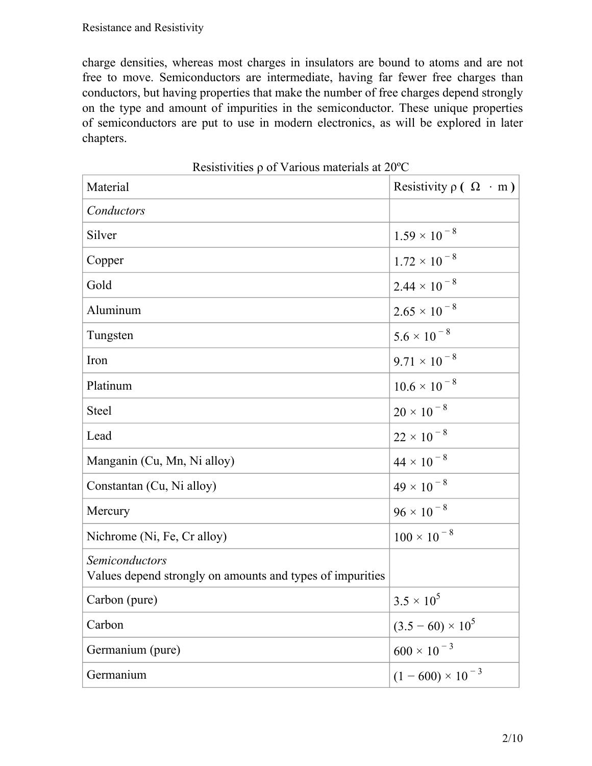charge densities, whereas most charges in insulators are bound to atoms and are not free to move. Semiconductors are intermediate, having far fewer free charges than conductors, but having properties that make the number of free charges depend strongly on the type and amount of impurities in the semiconductor. These unique properties of semiconductors are put to use in modern electronics, as will be explored in later chapters.

<span id="page-1-0"></span>

| Material                                                                    | Resistivity $\rho$ ( $\Omega$ · m) |
|-----------------------------------------------------------------------------|------------------------------------|
| Conductors                                                                  |                                    |
| Silver                                                                      | $1.59 \times 10^{-8}$              |
| Copper                                                                      | $1.72 \times 10^{-8}$              |
| Gold                                                                        | $2.44 \times 10^{-8}$              |
| Aluminum                                                                    | $2.65 \times 10^{-8}$              |
| Tungsten                                                                    | $5.6 \times 10^{-8}$               |
| Iron                                                                        | $9.71 \times 10^{-8}$              |
| Platinum                                                                    | $10.6 \times 10^{-8}$              |
| <b>Steel</b>                                                                | $20 \times 10^{-8}$                |
| Lead                                                                        | $22 \times 10^{-8}$                |
| Manganin (Cu, Mn, Ni alloy)                                                 | $44 \times 10^{-8}$                |
| Constantan (Cu, Ni alloy)                                                   | $49 \times 10^{-8}$                |
| Mercury                                                                     | $96 \times 10^{-8}$                |
| Nichrome (Ni, Fe, Cr alloy)                                                 | $100 \times 10^{-8}$               |
| Semiconductors<br>Values depend strongly on amounts and types of impurities |                                    |
| Carbon (pure)                                                               | $3.5 \times 10^{5}$                |
| Carbon                                                                      | $(3.5-60) \times 10^5$             |
| Germanium (pure)                                                            | $600 \times 10^{-3}$               |
| Germanium                                                                   | $(1 - 600) \times 10^{-3}$         |

Resistivities ρ of Various materials at 20ºC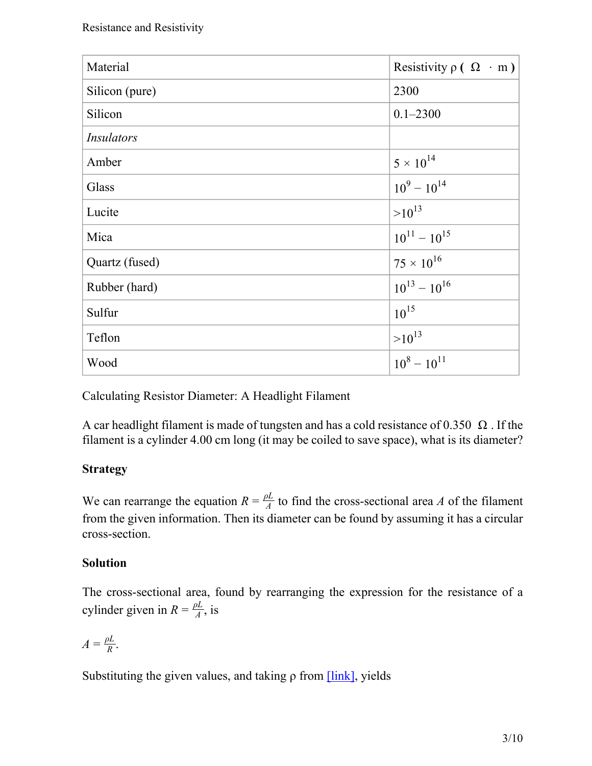| Material          | Resistivity $\rho(\Omega \cdot m)$ |
|-------------------|------------------------------------|
| Silicon (pure)    | 2300                               |
| Silicon           | $0.1 - 2300$                       |
| <b>Insulators</b> |                                    |
| Amber             | $5 \times 10^{14}$                 |
| Glass             | $10^9 - 10^{14}$                   |
| Lucite            | $>10^{13}$                         |
| Mica              | $10^{11} - 10^{15}$                |
| Quartz (fused)    | $75 \times 10^{16}$                |
| Rubber (hard)     | $10^{13} - 10^{16}$                |
| Sulfur            | $10^{15}$                          |
| Teflon            | $>10^{13}$                         |
| Wood              | $10^8 - 10^{11}$                   |

Calculating Resistor Diameter: A Headlight Filament

A car headlight filament is made of tungsten and has a cold resistance of  $0.350 \Omega$ . If the filament is a cylinder 4.00 cm long (it may be coiled to save space), what is its diameter?

## **Strategy**

We can rearrange the equation  $R = \frac{\rho L}{4}$  $\frac{\partial L}{\partial A}$  to find the cross-sectional area *A* of the filament from the given information. Then its diameter can be found by assuming it has a circular cross-section.

#### **Solution**

The cross-sectional area, found by rearranging the expression for the resistance of a cylinder given in  $R = \frac{\rho L}{4}$  $\frac{\partial L}{A}$ , is

$$
A = \frac{\rho L}{R}.
$$

Substituting the given values, and taking  $\rho$  from [\[link\]](#page-1-0), yields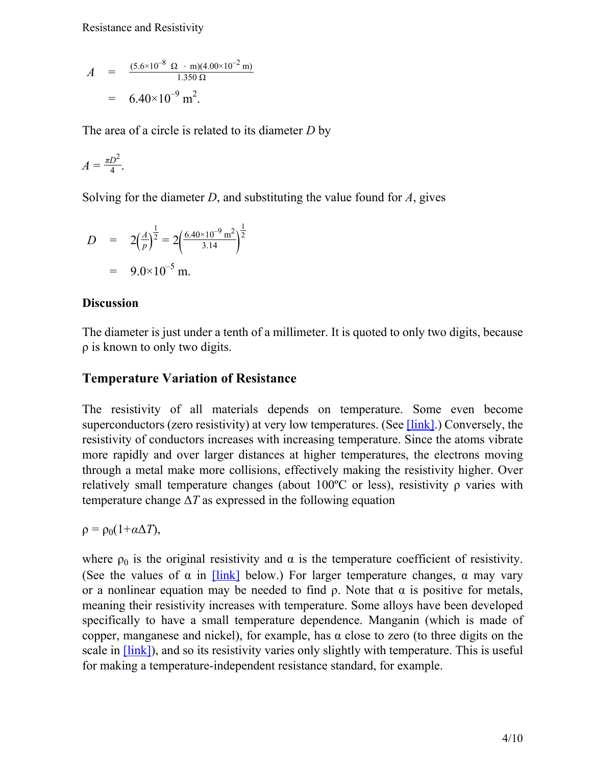$$
A = \frac{(5.6 \times 10^{-8} \ \Omega \ \cdot \ m)(4.00 \times 10^{-2} \ m)}{1.350 \ \Omega}
$$
  
= 6.40 \times 10^{-9} m<sup>2</sup>.

The area of a circle is related to its diameter *D* by

$$
A = \frac{\pi D^2}{4}.
$$

Solving for the diameter *D*, and substituting the value found for *A*, gives

$$
D = 2\left(\frac{A}{p}\right)^{\frac{1}{2}} = 2\left(\frac{6.40 \times 10^{-9} \text{ m}^2}{3.14}\right)^{\frac{1}{2}}
$$
  
= 9.0 \times 10^{-5} \text{ m.}

#### **Discussion**

The diameter is just under a tenth of a millimeter. It is quoted to only two digits, because ρ is known to only two digits.

#### **Temperature Variation of Resistance**

The resistivity of all materials depends on temperature. Some even become superconductors (zero resistivity) at very low temperatures. (See [\[link\].](#page-4-0)) Conversely, the resistivity of conductors increases with increasing temperature. Since the atoms vibrate more rapidly and over larger distances at higher temperatures, the electrons moving through a metal make more collisions, effectively making the resistivity higher. Over relatively small temperature changes (about 100ºC or less), resistivity ρ varies with temperature change  $\Delta T$  as expressed in the following equation

 $\rho = \rho_0(1+\alpha\Delta T)$ ,

where  $\rho_0$  is the original resistivity and  $\alpha$  is the temperature coefficient of resistivity. (See the values of  $\alpha$  in [\[link\]](#page-4-1) below.) For larger temperature changes,  $\alpha$  may vary or a nonlinear equation may be needed to find  $\rho$ . Note that  $\alpha$  is positive for metals, meaning their resistivity increases with temperature. Some alloys have been developed specifically to have a small temperature dependence. Manganin (which is made of copper, manganese and nickel), for example, has  $\alpha$  close to zero (to three digits on the scale in [\[link\]](#page-4-1)), and so its resistivity varies only slightly with temperature. This is useful for making a temperature-independent resistance standard, for example.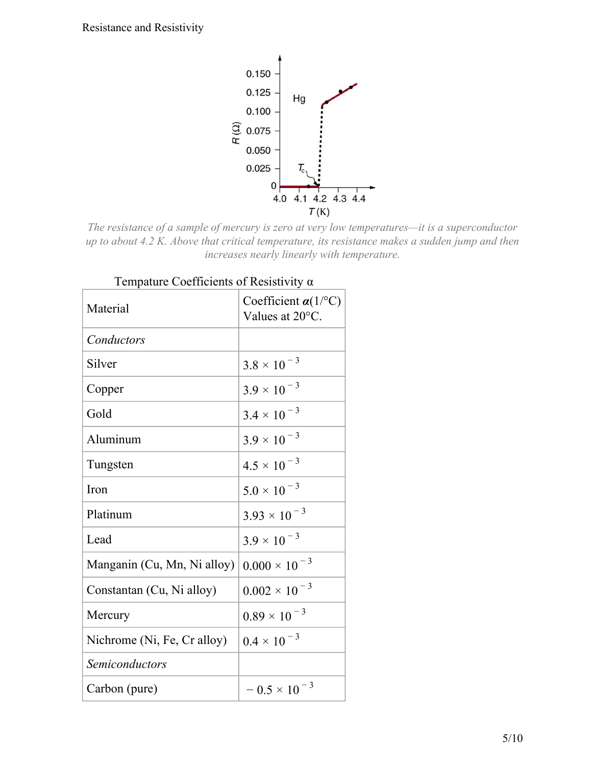

<span id="page-4-0"></span>*The resistance of a sample of mercury is zero at very low temperatures—it is a superconductor up to about 4.2 K. Above that critical temperature, its resistance makes a sudden jump and then increases nearly linearly with temperature.*

<span id="page-4-1"></span>

| Material                    | Coefficient $\alpha(1^{\circ}C)$<br>Values at 20°C. |
|-----------------------------|-----------------------------------------------------|
| Conductors                  |                                                     |
| Silver                      | $3.8 \times 10^{-3}$                                |
| Copper                      | $3.9 \times 10^{-3}$                                |
| Gold                        | $3.4 \times 10^{-3}$                                |
| Aluminum                    | $3.9 \times 10^{-3}$                                |
| Tungsten                    | $4.5 \times 10^{-3}$                                |
| <b>Iron</b>                 | $5.0 \times 10^{-3}$                                |
| Platinum                    | $3.93 \times 10^{-3}$                               |
| Lead                        | $3.9 \times 10^{-3}$                                |
| Manganin (Cu, Mn, Ni alloy) | $0.000 \times 10^{-3}$                              |
| Constantan (Cu, Ni alloy)   | $0.002 \times 10^{-3}$                              |
| Mercury                     | $0.89 \times 10^{-3}$                               |
| Nichrome (Ni, Fe, Cr alloy) | $0.4 \times 10^{-3}$                                |
| <b>Semiconductors</b>       |                                                     |
| Carbon (pure)               | $-0.5 \times 10^{-3}$                               |

#### Tempature Coefficients of Resistivity α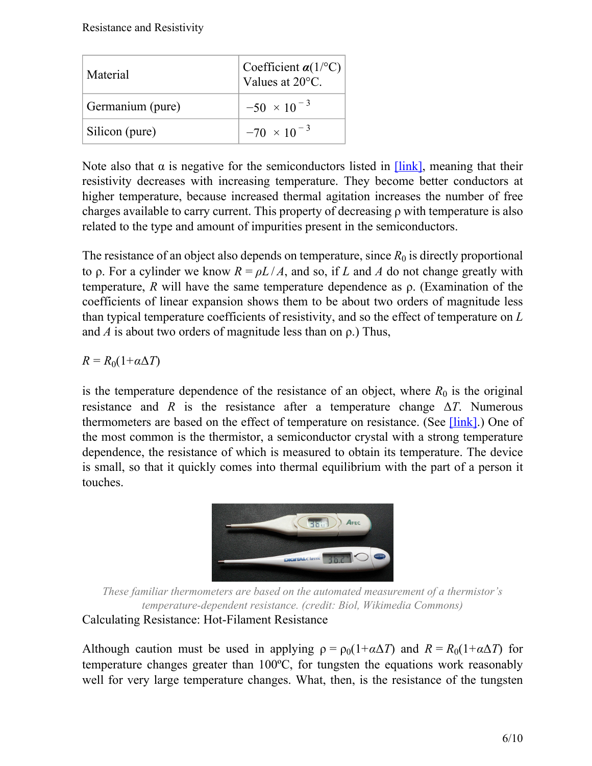| Material         | Coefficient $\alpha(1^{\circ}C)$<br>Values at 20°C. |
|------------------|-----------------------------------------------------|
| Germanium (pure) | $-50 \times 10^{-3}$                                |
| Silicon (pure)   | $-70 \times 10^{-3}$                                |

Note also that  $\alpha$  is negative for the semiconductors listed in [\[link\],](#page-4-1) meaning that their resistivity decreases with increasing temperature. They become better conductors at higher temperature, because increased thermal agitation increases the number of free charges available to carry current. This property of decreasing ρ with temperature is also related to the type and amount of impurities present in the semiconductors.

The resistance of an object also depends on temperature, since  $R_0$  is directly proportional to ρ. For a cylinder we know  $R = \rho L / A$ , and so, if L and A do not change greatly with temperature, *R* will have the same temperature dependence as ρ. (Examination of the coefficients of linear expansion shows them to be about two orders of magnitude less than typical temperature coefficients of resistivity, and so the effect of temperature on *L* and  $\Lambda$  is about two orders of magnitude less than on  $\rho$ .) Thus,

#### $R = R_0(1+\alpha\Delta T)$

is the temperature dependence of the resistance of an object, where  $R_0$  is the original resistance and *R* is the resistance after a temperature change  $\Delta T$ . Numerous thermometers are based on the effect of temperature on resistance. (See [\[link\].](#page-5-0)) One of the most common is the thermistor, a semiconductor crystal with a strong temperature dependence, the resistance of which is measured to obtain its temperature. The device is small, so that it quickly comes into thermal equilibrium with the part of a person it touches.



<span id="page-5-0"></span>*These familiar thermometers are based on the automated measurement of a thermistor's temperature-dependent resistance. (credit: Biol, Wikimedia Commons)* Calculating Resistance: Hot-Filament Resistance

Although caution must be used in applying  $\rho = \rho_0(1 + \alpha \Delta T)$  and  $R = R_0(1 + \alpha \Delta T)$  for temperature changes greater than 100ºC, for tungsten the equations work reasonably well for very large temperature changes. What, then, is the resistance of the tungsten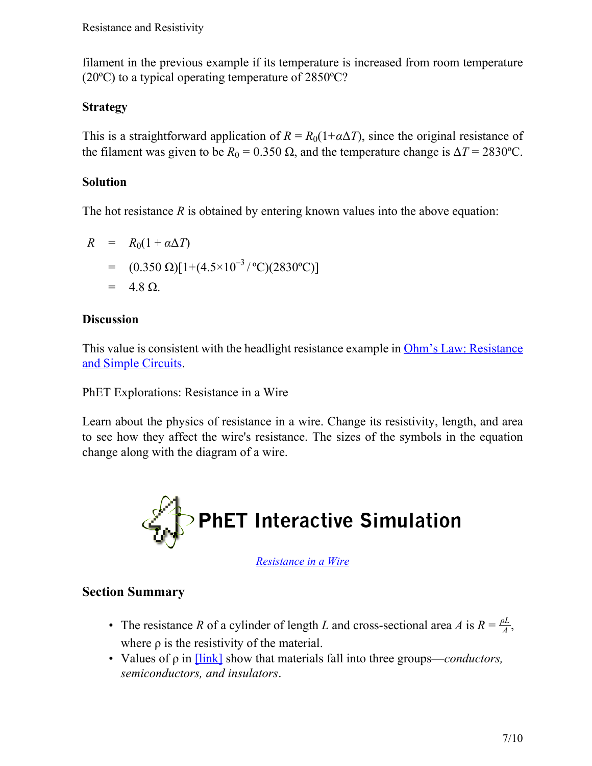filament in the previous example if its temperature is increased from room temperature (20ºC) to a typical operating temperature of 2850ºC?

### **Strategy**

This is a straightforward application of  $R = R_0(1 + \alpha \Delta T)$ , since the original resistance of the filament was given to be  $R_0 = 0.350 \Omega$ , and the temperature change is  $\Delta T = 2830^{\circ}\text{C}$ .

#### **Solution**

The hot resistance *R* is obtained by entering known values into the above equation:

$$
R = R_0(1 + \alpha \Delta T)
$$
  
= (0.350 \Omega)[1+(4.5\times10^{-3}/°C)(2830°C)]  
= 4.8 \Omega.

#### **Discussion**

This value is consistent with the headlight resistance example in Ohm's Law: [Resistance](/m42344) [and Simple Circuits](/m42344).

PhET Explorations: Resistance in a Wire

Learn about the physics of resistance in a wire. Change its resistivity, length, and area to see how they affect the wire's resistance. The sizes of the symbols in the equation change along with the diagram of a wire.



*[Resistance in a Wire](/home/voer/vp/vp.transformer/src/vpt.transformer/vpt/transformer/transforms/20140124-082025-73447b90-1/resistance-in-a-wire_en.jar)*

## **Section Summary**

- The resistance *R* of a cylinder of length *L* and cross-sectional area *A* is  $R = \frac{\rho L}{A}$  $\frac{2L}{A}$ , where  $\rho$  is the resistivity of the material.
- Values of ρ in [\[link\]](#page-1-0) show that materials fall into three groups—*conductors, semiconductors, and insulators*.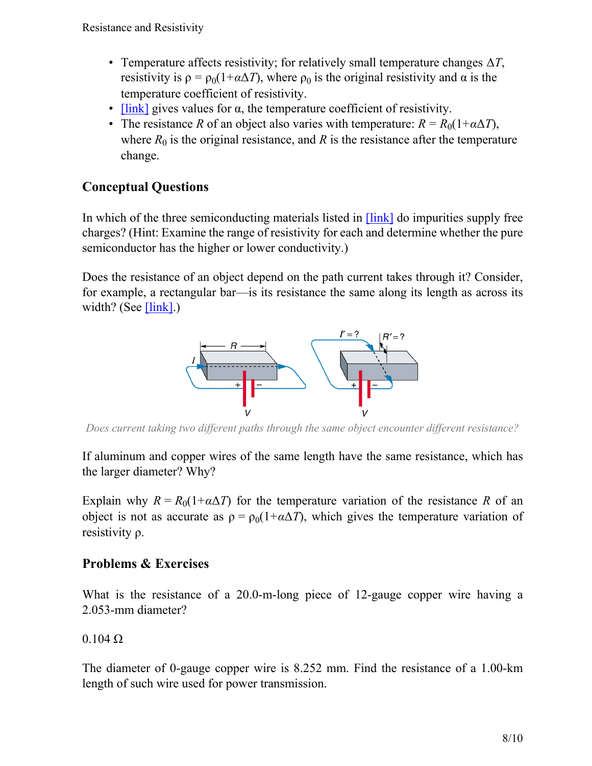- Temperature affects resistivity; for relatively small temperature changes  $\Delta T$ , resistivity is  $\rho = \rho_0(1 + \alpha \Delta T)$ , where  $\rho_0$  is the original resistivity and  $\alpha$  is the temperature coefficient of resistivity.
- **[\[link\]](#page-4-1)** gives values for α, the temperature coefficient of resistivity.
- The resistance *R* of an object also varies with temperature:  $R = R_0(1 + \alpha \Delta T)$ , where  $R_0$  is the original resistance, and  $R$  is the resistance after the temperature change.

## **Conceptual Questions**

In which of the three semiconducting materials listed in **[\[link\]](#page-1-0)** do impurities supply free charges? (Hint: Examine the range of resistivity for each and determine whether the pure semiconductor has the higher or lower conductivity.)

<span id="page-7-0"></span>Does the resistance of an object depend on the path current takes through it? Consider, for example, a rectangular bar—is its resistance the same along its length as across its width? (See  $[\text{link}]$ .)



*Does current taking two different paths through the same object encounter different resistance?*

If aluminum and copper wires of the same length have the same resistance, which has the larger diameter? Why?

Explain why  $R = R_0(1 + \alpha \Delta T)$  for the temperature variation of the resistance *R* of an object is not as accurate as  $\rho = \rho_0(1 + \alpha \Delta T)$ , which gives the temperature variation of resistivity ρ.

## **Problems & Exercises**

What is the resistance of a 20.0-m-long piece of 12-gauge copper wire having a 2.053-mm diameter?

#### $0.104 \Omega$

<span id="page-7-1"></span>The diameter of 0-gauge copper wire is 8.252 mm. Find the resistance of a 1.00-km length of such wire used for power transmission.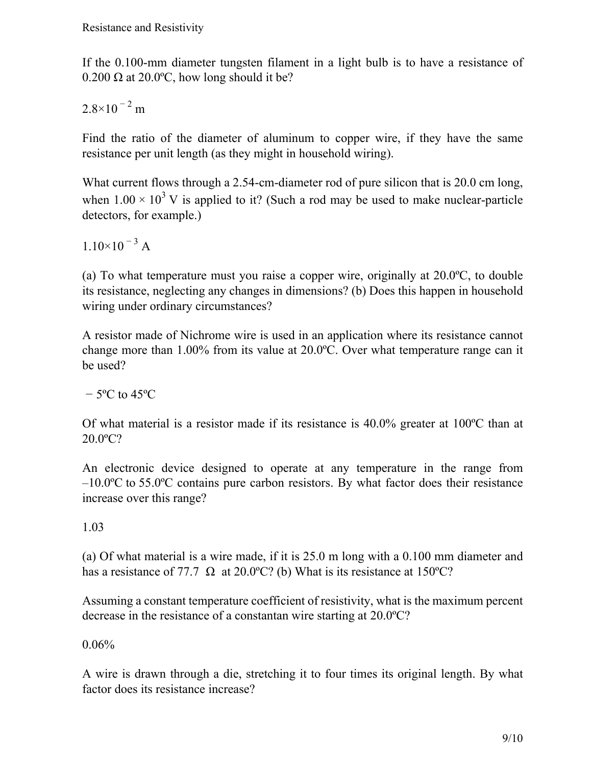If the 0.100-mm diameter tungsten filament in a light bulb is to have a resistance of  $0.200 \Omega$  at 20.0°C, how long should it be?

 $2.8 \times 10^{-2}$  m

Find the ratio of the diameter of aluminum to copper wire, if they have the same resistance per unit length (as they might in household wiring).

What current flows through a 2.54-cm-diameter rod of pure silicon that is 20.0 cm long, when  $1.00 \times 10^3$  V is applied to it? (Such a rod may be used to make nuclear-particle detectors, for example.)

 $1.10\times10^{-3}$  A

(a) To what temperature must you raise a copper wire, originally at 20.0ºC, to double its resistance, neglecting any changes in dimensions? (b) Does this happen in household wiring under ordinary circumstances?

A resistor made of Nichrome wire is used in an application where its resistance cannot change more than 1.00% from its value at 20.0ºC. Over what temperature range can it be used?

− 5ºC to 45ºC

Of what material is a resistor made if its resistance is 40.0% greater at 100ºC than at 20.0ºC?

An electronic device designed to operate at any temperature in the range from –10.0ºC to 55.0ºC contains pure carbon resistors. By what factor does their resistance increase over this range?

1.03

(a) Of what material is a wire made, if it is 25.0 m long with a 0.100 mm diameter and has a resistance of 77.7  $\Omega$  at 20.0°C? (b) What is its resistance at 150°C?

Assuming a constant temperature coefficient of resistivity, what is the maximum percent decrease in the resistance of a constantan wire starting at 20.0ºC?

0.06%

A wire is drawn through a die, stretching it to four times its original length. By what factor does its resistance increase?